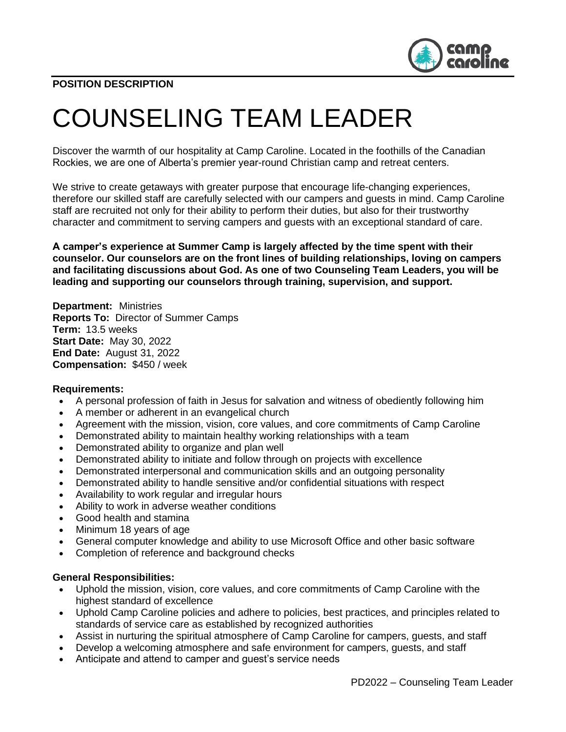

# COUNSELING TEAM LEADER

Discover the warmth of our hospitality at Camp Caroline. Located in the foothills of the Canadian Rockies, we are one of Alberta's premier year-round Christian camp and retreat centers.

We strive to create getaways with greater purpose that encourage life-changing experiences, therefore our skilled staff are carefully selected with our campers and guests in mind. Camp Caroline staff are recruited not only for their ability to perform their duties, but also for their trustworthy character and commitment to serving campers and guests with an exceptional standard of care.

**A camper's experience at Summer Camp is largely affected by the time spent with their counselor. Our counselors are on the front lines of building relationships, loving on campers and facilitating discussions about God. As one of two Counseling Team Leaders, you will be leading and supporting our counselors through training, supervision, and support.**

**Department:** Ministries **Reports To:** Director of Summer Camps **Term:** 13.5 weeks **Start Date:** May 30, 2022 **End Date:** August 31, 2022 **Compensation:** \$450 / week

#### **Requirements:**

- A personal profession of faith in Jesus for salvation and witness of obediently following him
- A member or adherent in an evangelical church
- Agreement with the mission, vision, core values, and core commitments of Camp Caroline
- Demonstrated ability to maintain healthy working relationships with a team
- Demonstrated ability to organize and plan well
- Demonstrated ability to initiate and follow through on projects with excellence
- Demonstrated interpersonal and communication skills and an outgoing personality
- Demonstrated ability to handle sensitive and/or confidential situations with respect
- Availability to work regular and irregular hours
- Ability to work in adverse weather conditions
- Good health and stamina
- Minimum 18 years of age
- General computer knowledge and ability to use Microsoft Office and other basic software
- Completion of reference and background checks

#### **General Responsibilities:**

- Uphold the mission, vision, core values, and core commitments of Camp Caroline with the highest standard of excellence
- Uphold Camp Caroline policies and adhere to policies, best practices, and principles related to standards of service care as established by recognized authorities
- Assist in nurturing the spiritual atmosphere of Camp Caroline for campers, guests, and staff
- Develop a welcoming atmosphere and safe environment for campers, guests, and staff
- Anticipate and attend to camper and guest's service needs